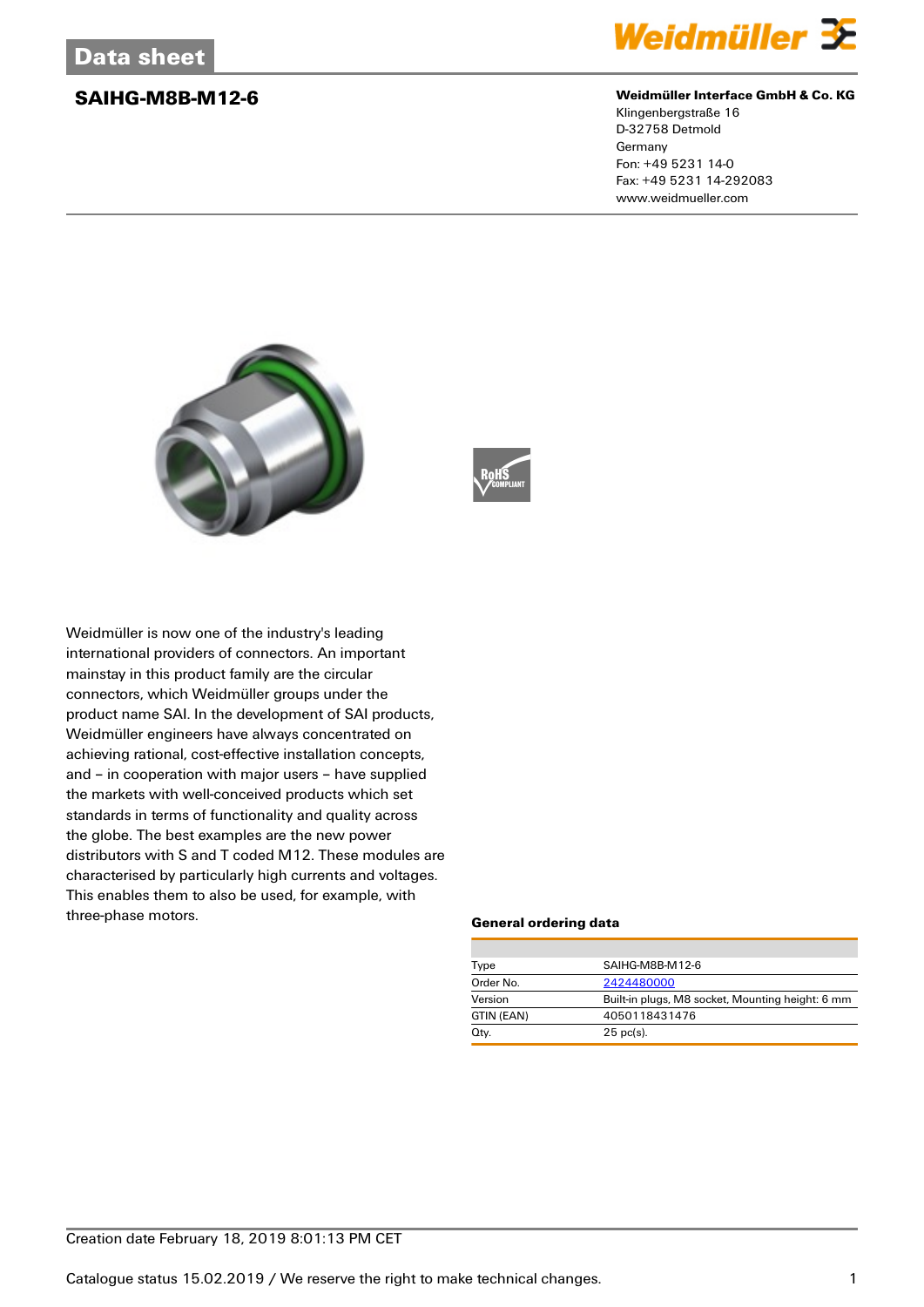

### **SAIHG-M8B-M12-6 Weidmüller Interface GmbH & Co. KG**

Klingenbergstraße 16 D-32758 Detmold Germany Fon: +49 5231 14-0 Fax: +49 5231 14-292083 www.weidmueller.com





Weidmüller is now one of the industry's leading international providers of connectors. An important mainstay in this product family are the circular connectors, which Weidmüller groups under the product name SAI. In the development of SAI products, Weidmüller engineers have always concentrated on achieving rational, cost-effective installation concepts, and – in cooperation with major users – have supplied the markets with well-conceived products which set standards in terms of functionality and quality across the globe. The best examples are the new power distributors with S and T coded M12. These modules are characterised by particularly high currents and voltages. This enables them to also be used, for example, with three-phase motors.

### **General ordering data**

| Type       | SAIHG-M8B-M12-6                                  |  |  |
|------------|--------------------------------------------------|--|--|
| Order No.  | 2424480000                                       |  |  |
| Version    | Built-in plugs, M8 socket, Mounting height: 6 mm |  |  |
| GTIN (EAN) | 4050118431476                                    |  |  |
| Qty.       | $25$ pc(s).                                      |  |  |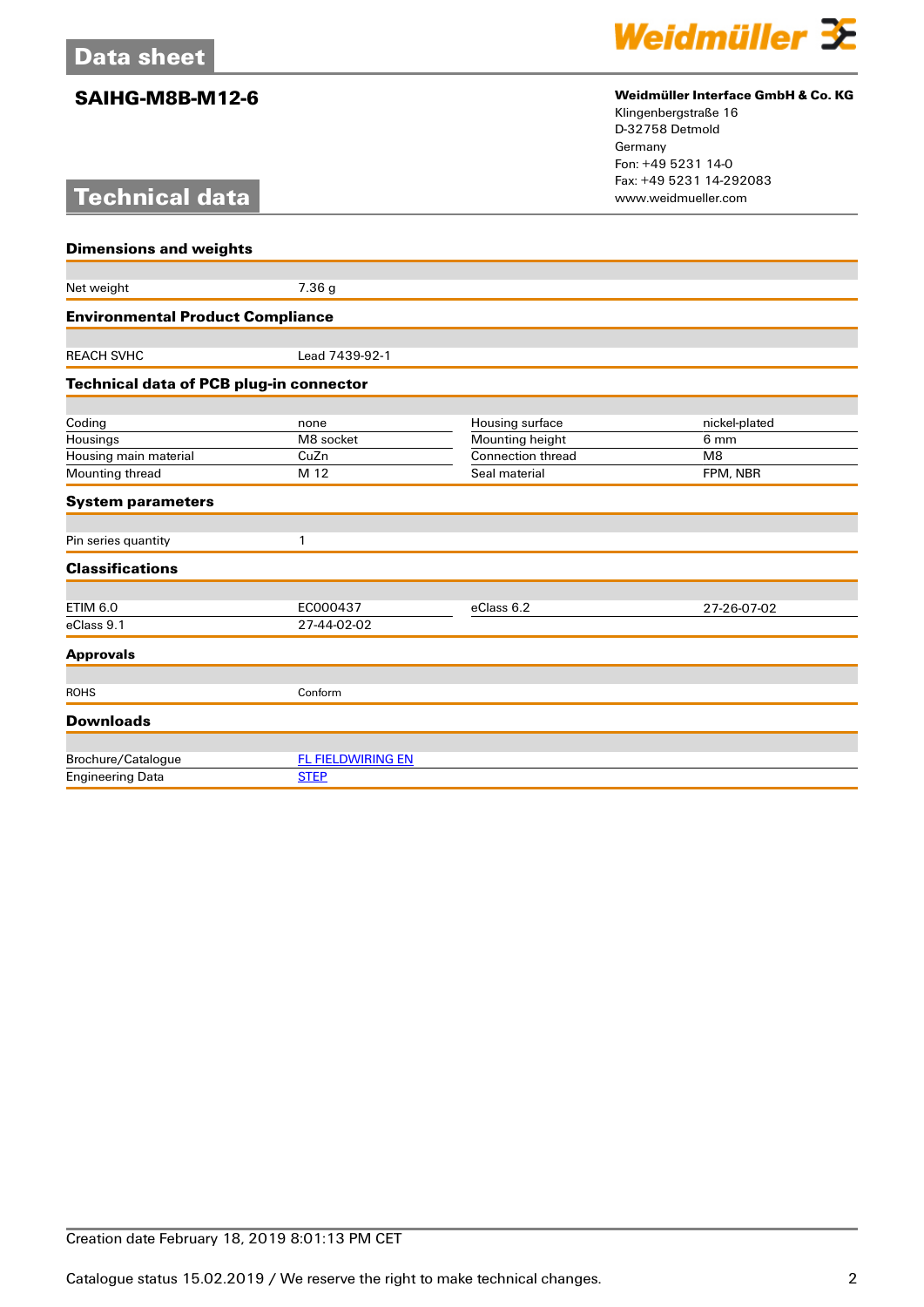# **Technical data**



## **SAIHG-M8B-M12-6 Weidmüller Interface GmbH & Co. KG**

Klingenbergstraße 16 D-32758 Detmold Germany Fon: +49 5231 14-0 Fax: +49 5231 14-292083

| <b>Dimensions and weights</b>                  |                          |                          |               |  |  |
|------------------------------------------------|--------------------------|--------------------------|---------------|--|--|
|                                                |                          |                          |               |  |  |
| Net weight                                     | 7.36 g                   |                          |               |  |  |
| <b>Environmental Product Compliance</b>        |                          |                          |               |  |  |
|                                                |                          |                          |               |  |  |
| <b>REACH SVHC</b>                              | Lead 7439-92-1           |                          |               |  |  |
| <b>Technical data of PCB plug-in connector</b> |                          |                          |               |  |  |
|                                                |                          |                          |               |  |  |
| Coding                                         | none                     | Housing surface          | nickel-plated |  |  |
| Housings                                       | M8 socket                | Mounting height          | 6 mm          |  |  |
| Housing main material                          | CuZn                     | <b>Connection thread</b> | M8            |  |  |
| Mounting thread                                | M 12                     | Seal material            | FPM, NBR      |  |  |
| <b>System parameters</b>                       |                          |                          |               |  |  |
| Pin series quantity                            | 1                        |                          |               |  |  |
|                                                |                          |                          |               |  |  |
| <b>Classifications</b>                         |                          |                          |               |  |  |
|                                                |                          |                          |               |  |  |
| <b>ETIM 6.0</b>                                | EC000437                 | eClass 6.2               | 27-26-07-02   |  |  |
| eClass 9.1                                     | 27-44-02-02              |                          |               |  |  |
| <b>Approvals</b>                               |                          |                          |               |  |  |
|                                                |                          |                          |               |  |  |
| <b>ROHS</b>                                    | Conform                  |                          |               |  |  |
| <b>Downloads</b>                               |                          |                          |               |  |  |
|                                                |                          |                          |               |  |  |
| Brochure/Catalogue                             | <b>FL FIELDWIRING EN</b> |                          |               |  |  |
| <b>Engineering Data</b>                        | <b>STEP</b>              |                          |               |  |  |